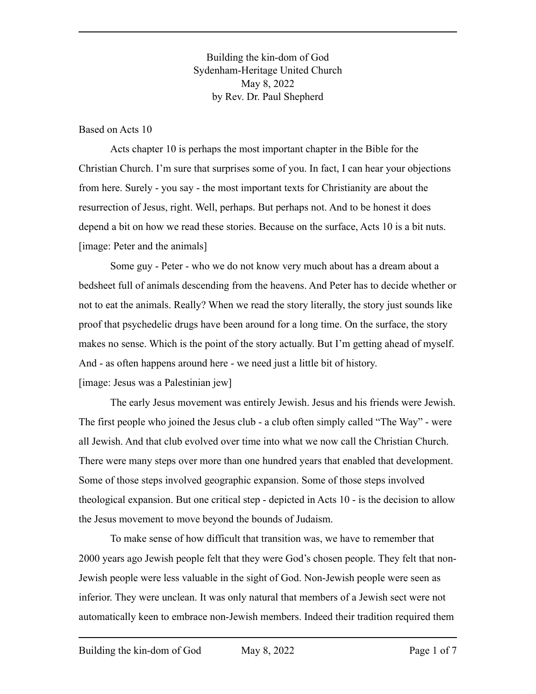Building the kin-dom of God Sydenham-Heritage United Church May 8, 2022 by Rev. Dr. Paul Shepherd

Based on Acts 10

Acts chapter 10 is perhaps the most important chapter in the Bible for the Christian Church. I'm sure that surprises some of you. In fact, I can hear your objections from here. Surely - you say - the most important texts for Christianity are about the resurrection of Jesus, right. Well, perhaps. But perhaps not. And to be honest it does depend a bit on how we read these stories. Because on the surface, Acts 10 is a bit nuts. [image: Peter and the animals]

Some guy - Peter - who we do not know very much about has a dream about a bedsheet full of animals descending from the heavens. And Peter has to decide whether or not to eat the animals. Really? When we read the story literally, the story just sounds like proof that psychedelic drugs have been around for a long time. On the surface, the story makes no sense. Which is the point of the story actually. But I'm getting ahead of myself. And - as often happens around here - we need just a little bit of history. [image: Jesus was a Palestinian jew]

The early Jesus movement was entirely Jewish. Jesus and his friends were Jewish. The first people who joined the Jesus club - a club often simply called "The Way" - were all Jewish. And that club evolved over time into what we now call the Christian Church. There were many steps over more than one hundred years that enabled that development. Some of those steps involved geographic expansion. Some of those steps involved theological expansion. But one critical step - depicted in Acts 10 - is the decision to allow the Jesus movement to move beyond the bounds of Judaism.

To make sense of how difficult that transition was, we have to remember that 2000 years ago Jewish people felt that they were God's chosen people. They felt that non-Jewish people were less valuable in the sight of God. Non-Jewish people were seen as inferior. They were unclean. It was only natural that members of a Jewish sect were not automatically keen to embrace non-Jewish members. Indeed their tradition required them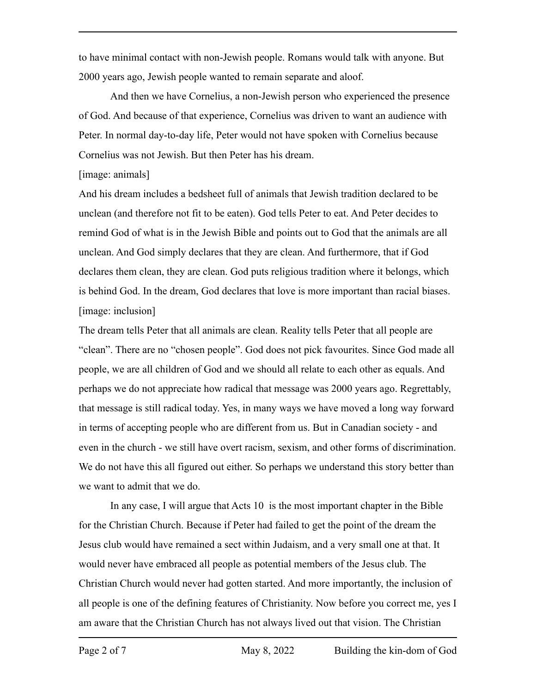to have minimal contact with non-Jewish people. Romans would talk with anyone. But 2000 years ago, Jewish people wanted to remain separate and aloof.

And then we have Cornelius, a non-Jewish person who experienced the presence of God. And because of that experience, Cornelius was driven to want an audience with Peter. In normal day-to-day life, Peter would not have spoken with Cornelius because Cornelius was not Jewish. But then Peter has his dream.

## [image: animals]

And his dream includes a bedsheet full of animals that Jewish tradition declared to be unclean (and therefore not fit to be eaten). God tells Peter to eat. And Peter decides to remind God of what is in the Jewish Bible and points out to God that the animals are all unclean. And God simply declares that they are clean. And furthermore, that if God declares them clean, they are clean. God puts religious tradition where it belongs, which is behind God. In the dream, God declares that love is more important than racial biases. [image: inclusion]

The dream tells Peter that all animals are clean. Reality tells Peter that all people are "clean". There are no "chosen people". God does not pick favourites. Since God made all people, we are all children of God and we should all relate to each other as equals. And perhaps we do not appreciate how radical that message was 2000 years ago. Regrettably, that message is still radical today. Yes, in many ways we have moved a long way forward in terms of accepting people who are different from us. But in Canadian society - and even in the church - we still have overt racism, sexism, and other forms of discrimination. We do not have this all figured out either. So perhaps we understand this story better than we want to admit that we do.

In any case, I will argue that Acts 10 is the most important chapter in the Bible for the Christian Church. Because if Peter had failed to get the point of the dream the Jesus club would have remained a sect within Judaism, and a very small one at that. It would never have embraced all people as potential members of the Jesus club. The Christian Church would never had gotten started. And more importantly, the inclusion of all people is one of the defining features of Christianity. Now before you correct me, yes I am aware that the Christian Church has not always lived out that vision. The Christian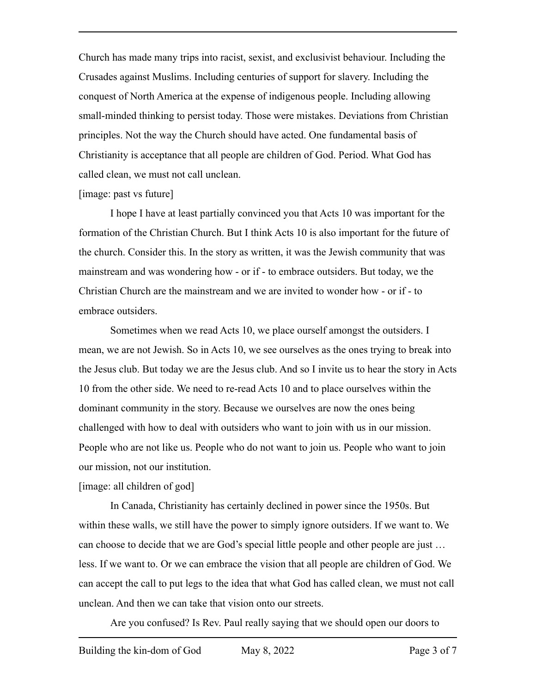Church has made many trips into racist, sexist, and exclusivist behaviour. Including the Crusades against Muslims. Including centuries of support for slavery. Including the conquest of North America at the expense of indigenous people. Including allowing small-minded thinking to persist today. Those were mistakes. Deviations from Christian principles. Not the way the Church should have acted. One fundamental basis of Christianity is acceptance that all people are children of God. Period. What God has called clean, we must not call unclean.

## [image: past vs future]

I hope I have at least partially convinced you that Acts 10 was important for the formation of the Christian Church. But I think Acts 10 is also important for the future of the church. Consider this. In the story as written, it was the Jewish community that was mainstream and was wondering how - or if - to embrace outsiders. But today, we the Christian Church are the mainstream and we are invited to wonder how - or if - to embrace outsiders.

Sometimes when we read Acts 10, we place ourself amongst the outsiders. I mean, we are not Jewish. So in Acts 10, we see ourselves as the ones trying to break into the Jesus club. But today we are the Jesus club. And so I invite us to hear the story in Acts 10 from the other side. We need to re-read Acts 10 and to place ourselves within the dominant community in the story. Because we ourselves are now the ones being challenged with how to deal with outsiders who want to join with us in our mission. People who are not like us. People who do not want to join us. People who want to join our mission, not our institution.

## [image: all children of god]

In Canada, Christianity has certainly declined in power since the 1950s. But within these walls, we still have the power to simply ignore outsiders. If we want to. We can choose to decide that we are God's special little people and other people are just … less. If we want to. Or we can embrace the vision that all people are children of God. We can accept the call to put legs to the idea that what God has called clean, we must not call unclean. And then we can take that vision onto our streets.

Are you confused? Is Rev. Paul really saying that we should open our doors to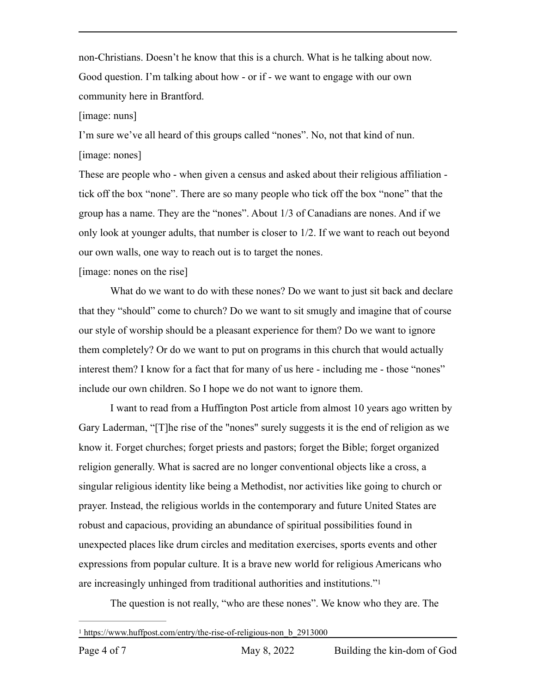non-Christians. Doesn't he know that this is a church. What is he talking about now. Good question. I'm talking about how - or if - we want to engage with our own community here in Brantford.

[image: nuns]

I'm sure we've all heard of this groups called "nones". No, not that kind of nun. [image: nones]

These are people who - when given a census and asked about their religious affiliation tick off the box "none". There are so many people who tick off the box "none" that the group has a name. They are the "nones". About 1/3 of Canadians are nones. And if we only look at younger adults, that number is closer to 1/2. If we want to reach out beyond our own walls, one way to reach out is to target the nones.

[image: nones on the rise]

What do we want to do with these nones? Do we want to just sit back and declare that they "should" come to church? Do we want to sit smugly and imagine that of course our style of worship should be a pleasant experience for them? Do we want to ignore them completely? Or do we want to put on programs in this church that would actually interest them? I know for a fact that for many of us here - including me - those "nones" include our own children. So I hope we do not want to ignore them.

I want to read from a Huffington Post article from almost 10 years ago written by Gary Laderman, "[T]he rise of the "nones" surely suggests it is the end of religion as we know it. Forget churches; forget priests and pastors; forget the Bible; forget organized religion generally. What is sacred are no longer conventional objects like a cross, a singular religious identity like being a Methodist, nor activities like going to church or prayer. Instead, the religious worlds in the contemporary and future United States are robust and capacious, providing an abundance of spiritual possibilities found in unexpected places like drum circles and meditation exercises, sports events and other expressions from popular culture. It is a brave new world for religious Americans who are increasingly unhinged from traditional authorities and institutions.["1](#page-3-0)

<span id="page-3-1"></span>The question is not really, "who are these nones". We know who they are. The

<span id="page-3-0"></span>[1](#page-3-1) https://www.huffpost.com/entry/the-rise-of-religious-non\_b\_2913000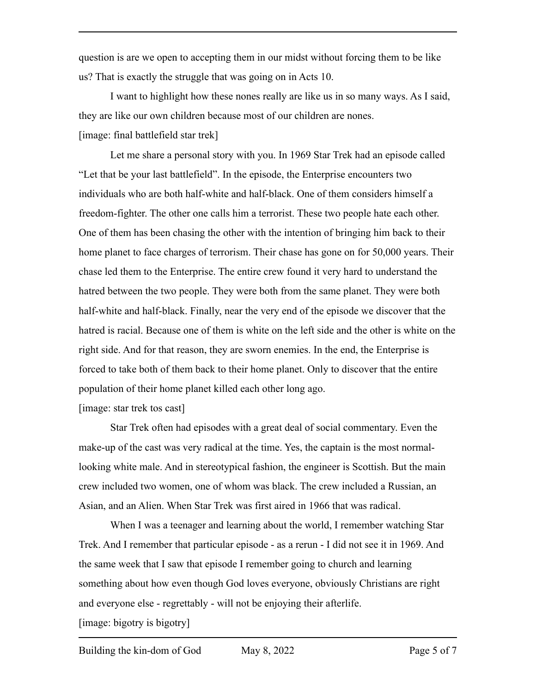question is are we open to accepting them in our midst without forcing them to be like us? That is exactly the struggle that was going on in Acts 10.

I want to highlight how these nones really are like us in so many ways. As I said, they are like our own children because most of our children are nones. [image: final battlefield star trek]

Let me share a personal story with you. In 1969 Star Trek had an episode called "Let that be your last battlefield". In the episode, the Enterprise encounters two individuals who are both half-white and half-black. One of them considers himself a freedom-fighter. The other one calls him a terrorist. These two people hate each other. One of them has been chasing the other with the intention of bringing him back to their home planet to face charges of terrorism. Their chase has gone on for 50,000 years. Their chase led them to the Enterprise. The entire crew found it very hard to understand the hatred between the two people. They were both from the same planet. They were both half-white and half-black. Finally, near the very end of the episode we discover that the hatred is racial. Because one of them is white on the left side and the other is white on the right side. And for that reason, they are sworn enemies. In the end, the Enterprise is forced to take both of them back to their home planet. Only to discover that the entire population of their home planet killed each other long ago.

[image: star trek tos cast]

Star Trek often had episodes with a great deal of social commentary. Even the make-up of the cast was very radical at the time. Yes, the captain is the most normallooking white male. And in stereotypical fashion, the engineer is Scottish. But the main crew included two women, one of whom was black. The crew included a Russian, an Asian, and an Alien. When Star Trek was first aired in 1966 that was radical.

When I was a teenager and learning about the world, I remember watching Star Trek. And I remember that particular episode - as a rerun - I did not see it in 1969. And the same week that I saw that episode I remember going to church and learning something about how even though God loves everyone, obviously Christians are right and everyone else - regrettably - will not be enjoying their afterlife.

[image: bigotry is bigotry]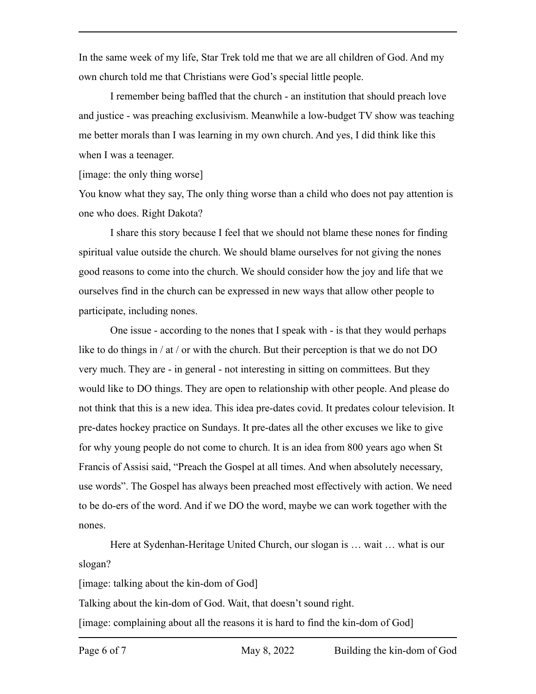In the same week of my life, Star Trek told me that we are all children of God. And my own church told me that Christians were God's special little people.

I remember being baffled that the church - an institution that should preach love and justice - was preaching exclusivism. Meanwhile a low-budget TV show was teaching me better morals than I was learning in my own church. And yes, I did think like this when I was a teenager.

[image: the only thing worse]

You know what they say, The only thing worse than a child who does not pay attention is one who does. Right Dakota?

I share this story because I feel that we should not blame these nones for finding spiritual value outside the church. We should blame ourselves for not giving the nones good reasons to come into the church. We should consider how the joy and life that we ourselves find in the church can be expressed in new ways that allow other people to participate, including nones.

One issue - according to the nones that I speak with - is that they would perhaps like to do things in  $/$  at  $/$  or with the church. But their perception is that we do not DO very much. They are - in general - not interesting in sitting on committees. But they would like to DO things. They are open to relationship with other people. And please do not think that this is a new idea. This idea pre-dates covid. It predates colour television. It pre-dates hockey practice on Sundays. It pre-dates all the other excuses we like to give for why young people do not come to church. It is an idea from 800 years ago when St Francis of Assisi said, "Preach the Gospel at all times. And when absolutely necessary, use words". The Gospel has always been preached most effectively with action. We need to be do-ers of the word. And if we DO the word, maybe we can work together with the nones.

Here at Sydenhan-Heritage United Church, our slogan is … wait … what is our slogan?

[image: talking about the kin-dom of God]

Talking about the kin-dom of God. Wait, that doesn't sound right.

[image: complaining about all the reasons it is hard to find the kin-dom of God]